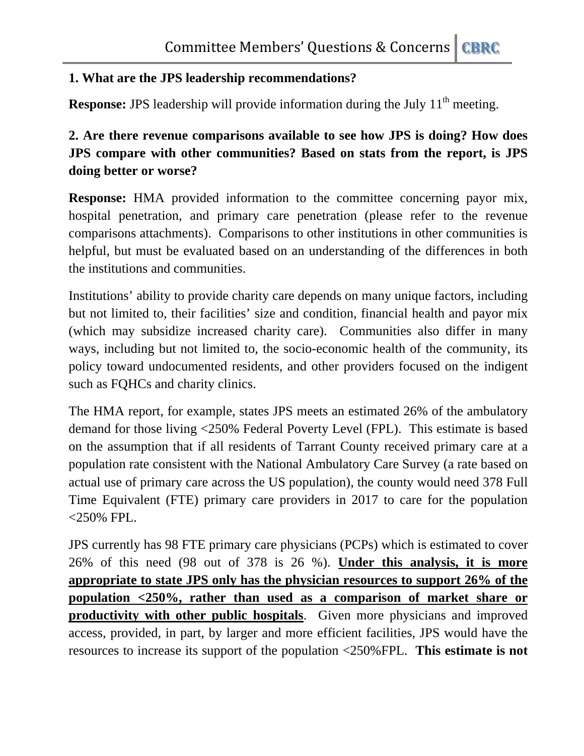### **1. What are the JPS leadership recommendations?**

**Response:** JPS leadership will provide information during the July 11<sup>th</sup> meeting.

# **2. Are there revenue comparisons available to see how JPS is doing? How does JPS compare with other communities? Based on stats from the report, is JPS doing better or worse?**

**Response:** HMA provided information to the committee concerning payor mix, hospital penetration, and primary care penetration (please refer to the revenue comparisons attachments). Comparisons to other institutions in other communities is helpful, but must be evaluated based on an understanding of the differences in both the institutions and communities.

Institutions' ability to provide charity care depends on many unique factors, including but not limited to, their facilities' size and condition, financial health and payor mix (which may subsidize increased charity care). Communities also differ in many ways, including but not limited to, the socio-economic health of the community, its policy toward undocumented residents, and other providers focused on the indigent such as FQHCs and charity clinics.

The HMA report, for example, states JPS meets an estimated 26% of the ambulatory demand for those living <250% Federal Poverty Level (FPL). This estimate is based on the assumption that if all residents of Tarrant County received primary care at a population rate consistent with the National Ambulatory Care Survey (a rate based on actual use of primary care across the US population), the county would need 378 Full Time Equivalent (FTE) primary care providers in 2017 to care for the population <250% FPL.

JPS currently has 98 FTE primary care physicians (PCPs) which is estimated to cover 26% of this need (98 out of 378 is 26 %). **Under this analysis, it is more appropriate to state JPS only has the physician resources to support 26% of the population <250%, rather than used as a comparison of market share or productivity with other public hospitals**. Given more physicians and improved access, provided, in part, by larger and more efficient facilities, JPS would have the resources to increase its support of the population <250%FPL. **This estimate is not**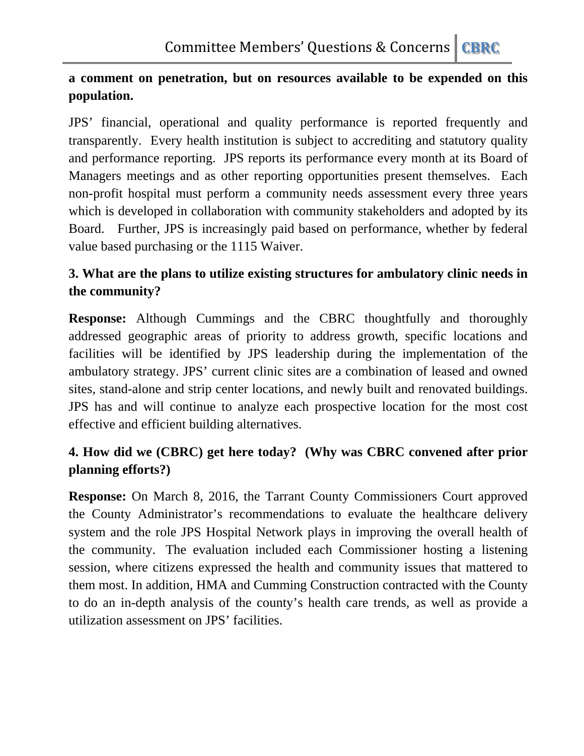## **a comment on penetration, but on resources available to be expended on this population.**

JPS' financial, operational and quality performance is reported frequently and transparently. Every health institution is subject to accrediting and statutory quality and performance reporting. JPS reports its performance every month at its Board of Managers meetings and as other reporting opportunities present themselves. Each non-profit hospital must perform a community needs assessment every three years which is developed in collaboration with community stakeholders and adopted by its Board. Further, JPS is increasingly paid based on performance, whether by federal value based purchasing or the 1115 Waiver.

# **3. What are the plans to utilize existing structures for ambulatory clinic needs in the community?**

**Response:** Although Cummings and the CBRC thoughtfully and thoroughly addressed geographic areas of priority to address growth, specific locations and facilities will be identified by JPS leadership during the implementation of the ambulatory strategy. JPS' current clinic sites are a combination of leased and owned sites, stand-alone and strip center locations, and newly built and renovated buildings. JPS has and will continue to analyze each prospective location for the most cost effective and efficient building alternatives.

# **4. How did we (CBRC) get here today? (Why was CBRC convened after prior planning efforts?)**

**Response:** On March 8, 2016, the Tarrant County Commissioners Court approved the County Administrator's recommendations to evaluate the healthcare delivery system and the role JPS Hospital Network plays in improving the overall health of the community. The evaluation included each Commissioner hosting a listening session, where citizens expressed the health and community issues that mattered to them most. In addition, HMA and Cumming Construction contracted with the County to do an in-depth analysis of the county's health care trends, as well as provide a utilization assessment on JPS' facilities.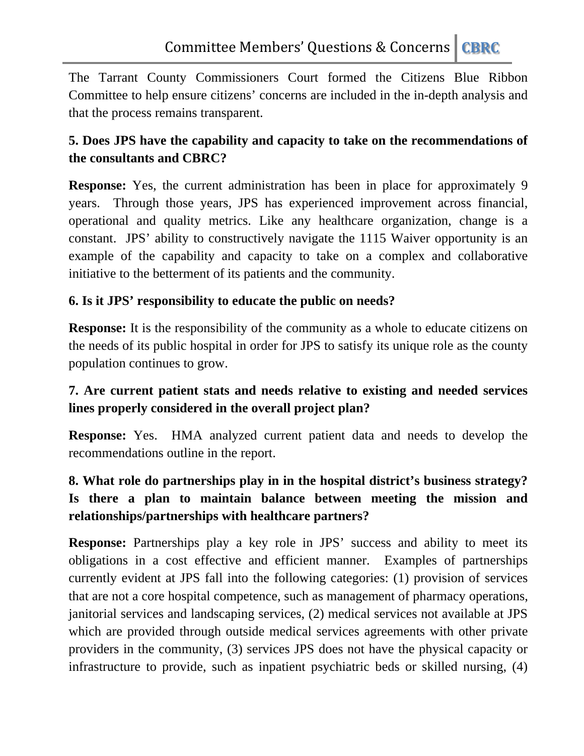The Tarrant County Commissioners Court formed the Citizens Blue Ribbon Committee to help ensure citizens' concerns are included in the in-depth analysis and that the process remains transparent.

# **5. Does JPS have the capability and capacity to take on the recommendations of the consultants and CBRC?**

**Response:** Yes, the current administration has been in place for approximately 9 years. Through those years, JPS has experienced improvement across financial, operational and quality metrics. Like any healthcare organization, change is a constant. JPS' ability to constructively navigate the 1115 Waiver opportunity is an example of the capability and capacity to take on a complex and collaborative initiative to the betterment of its patients and the community.

### **6. Is it JPS' responsibility to educate the public on needs?**

**Response:** It is the responsibility of the community as a whole to educate citizens on the needs of its public hospital in order for JPS to satisfy its unique role as the county population continues to grow.

## **7. Are current patient stats and needs relative to existing and needed services lines properly considered in the overall project plan?**

**Response:** Yes. HMA analyzed current patient data and needs to develop the recommendations outline in the report.

# **8. What role do partnerships play in in the hospital district's business strategy? Is there a plan to maintain balance between meeting the mission and relationships/partnerships with healthcare partners?**

**Response:** Partnerships play a key role in JPS' success and ability to meet its obligations in a cost effective and efficient manner. Examples of partnerships currently evident at JPS fall into the following categories: (1) provision of services that are not a core hospital competence, such as management of pharmacy operations, janitorial services and landscaping services, (2) medical services not available at JPS which are provided through outside medical services agreements with other private providers in the community, (3) services JPS does not have the physical capacity or infrastructure to provide, such as inpatient psychiatric beds or skilled nursing, (4)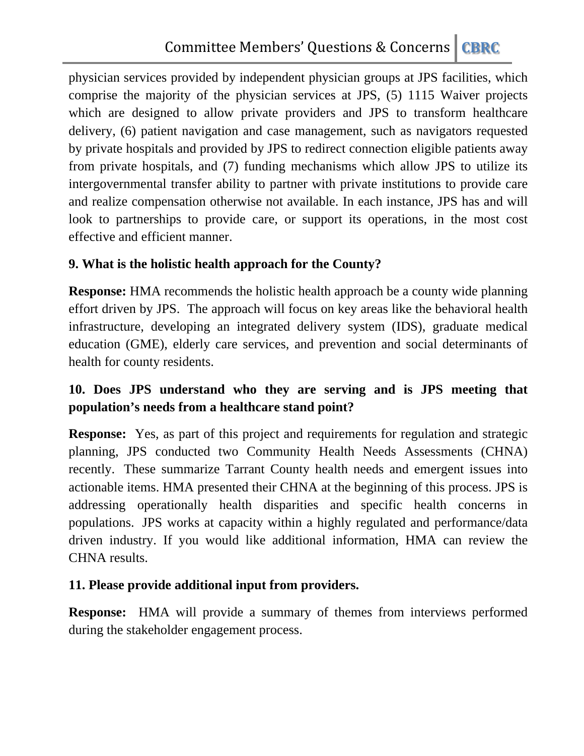physician services provided by independent physician groups at JPS facilities, which comprise the majority of the physician services at JPS, (5) 1115 Waiver projects which are designed to allow private providers and JPS to transform healthcare delivery, (6) patient navigation and case management, such as navigators requested by private hospitals and provided by JPS to redirect connection eligible patients away from private hospitals, and (7) funding mechanisms which allow JPS to utilize its intergovernmental transfer ability to partner with private institutions to provide care and realize compensation otherwise not available. In each instance, JPS has and will look to partnerships to provide care, or support its operations, in the most cost effective and efficient manner.

#### **9. What is the holistic health approach for the County?**

**Response:** HMA recommends the holistic health approach be a county wide planning effort driven by JPS. The approach will focus on key areas like the behavioral health infrastructure, developing an integrated delivery system (IDS), graduate medical education (GME), elderly care services, and prevention and social determinants of health for county residents.

## **10. Does JPS understand who they are serving and is JPS meeting that population's needs from a healthcare stand point?**

**Response:** Yes, as part of this project and requirements for regulation and strategic planning, JPS conducted two Community Health Needs Assessments (CHNA) recently. These summarize Tarrant County health needs and emergent issues into actionable items. HMA presented their CHNA at the beginning of this process. JPS is addressing operationally health disparities and specific health concerns in populations. JPS works at capacity within a highly regulated and performance/data driven industry. If you would like additional information, HMA can review the CHNA results.

### **11. Please provide additional input from providers.**

**Response:** HMA will provide a summary of themes from interviews performed during the stakeholder engagement process.